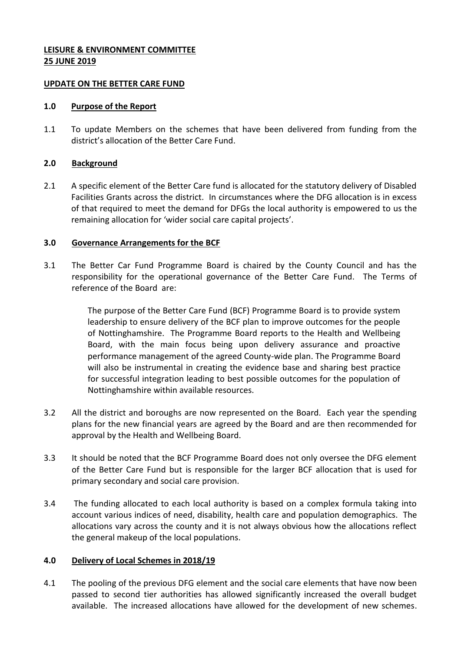# **LEISURE & ENVIRONMENT COMMITTEE 25 JUNE 2019**

#### **UPDATE ON THE BETTER CARE FUND**

### **1.0 Purpose of the Report**

1.1 To update Members on the schemes that have been delivered from funding from the district's allocation of the Better Care Fund.

# **2.0 Background**

2.1 A specific element of the Better Care fund is allocated for the statutory delivery of Disabled Facilities Grants across the district. In circumstances where the DFG allocation is in excess of that required to meet the demand for DFGs the local authority is empowered to us the remaining allocation for 'wider social care capital projects'.

# **3.0 Governance Arrangements for the BCF**

3.1 The Better Car Fund Programme Board is chaired by the County Council and has the responsibility for the operational governance of the Better Care Fund. The Terms of reference of the Board are:

> The purpose of the Better Care Fund (BCF) Programme Board is to provide system leadership to ensure delivery of the BCF plan to improve outcomes for the people of Nottinghamshire. The Programme Board reports to the Health and Wellbeing Board, with the main focus being upon delivery assurance and proactive performance management of the agreed County-wide plan. The Programme Board will also be instrumental in creating the evidence base and sharing best practice for successful integration leading to best possible outcomes for the population of Nottinghamshire within available resources.

- 3.2 All the district and boroughs are now represented on the Board. Each year the spending plans for the new financial years are agreed by the Board and are then recommended for approval by the Health and Wellbeing Board.
- 3.3 It should be noted that the BCF Programme Board does not only oversee the DFG element of the Better Care Fund but is responsible for the larger BCF allocation that is used for primary secondary and social care provision.
- 3.4 The funding allocated to each local authority is based on a complex formula taking into account various indices of need, disability, health care and population demographics. The allocations vary across the county and it is not always obvious how the allocations reflect the general makeup of the local populations.

# **4.0 Delivery of Local Schemes in 2018/19**

4.1 The pooling of the previous DFG element and the social care elements that have now been passed to second tier authorities has allowed significantly increased the overall budget available. The increased allocations have allowed for the development of new schemes.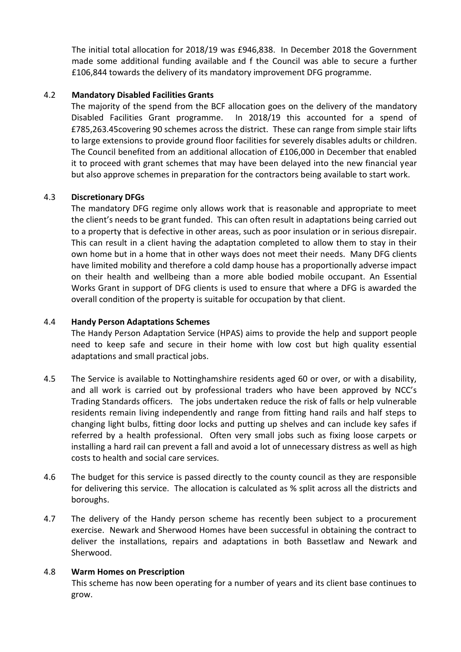The initial total allocation for 2018/19 was £946,838. In December 2018 the Government made some additional funding available and f the Council was able to secure a further £106,844 towards the delivery of its mandatory improvement DFG programme.

# 4.2 **Mandatory Disabled Facilities Grants**

The majority of the spend from the BCF allocation goes on the delivery of the mandatory Disabled Facilities Grant programme. In 2018/19 this accounted for a spend of £785,263.45covering 90 schemes across the district. These can range from simple stair lifts to large extensions to provide ground floor facilities for severely disables adults or children. The Council benefited from an additional allocation of £106,000 in December that enabled it to proceed with grant schemes that may have been delayed into the new financial year but also approve schemes in preparation for the contractors being available to start work.

# 4.3 **Discretionary DFGs**

The mandatory DFG regime only allows work that is reasonable and appropriate to meet the client's needs to be grant funded. This can often result in adaptations being carried out to a property that is defective in other areas, such as poor insulation or in serious disrepair. This can result in a client having the adaptation completed to allow them to stay in their own home but in a home that in other ways does not meet their needs. Many DFG clients have limited mobility and therefore a cold damp house has a proportionally adverse impact on their health and wellbeing than a more able bodied mobile occupant. An Essential Works Grant in support of DFG clients is used to ensure that where a DFG is awarded the overall condition of the property is suitable for occupation by that client.

### 4.4 **Handy Person Adaptations Schemes**

The Handy Person Adaptation Service (HPAS) aims to provide the help and support people need to keep safe and secure in their home with low cost but high quality essential adaptations and small practical jobs.

- 4.5 The Service is available to Nottinghamshire residents aged 60 or over, or with a disability, and all work is carried out by professional traders who have been approved by NCC's Trading Standards officers. The jobs undertaken reduce the risk of falls or help vulnerable residents remain living independently and range from fitting hand rails and half steps to changing light bulbs, fitting door locks and putting up shelves and can include key safes if referred by a health professional. Often very small jobs such as fixing loose carpets or installing a hard rail can prevent a fall and avoid a lot of unnecessary distress as well as high costs to health and social care services.
- 4.6 The budget for this service is passed directly to the county council as they are responsible for delivering this service. The allocation is calculated as % split across all the districts and boroughs.
- 4.7 The delivery of the Handy person scheme has recently been subject to a procurement exercise. Newark and Sherwood Homes have been successful in obtaining the contract to deliver the installations, repairs and adaptations in both Bassetlaw and Newark and Sherwood.

#### 4.8 **Warm Homes on Prescription**

This scheme has now been operating for a number of years and its client base continues to grow.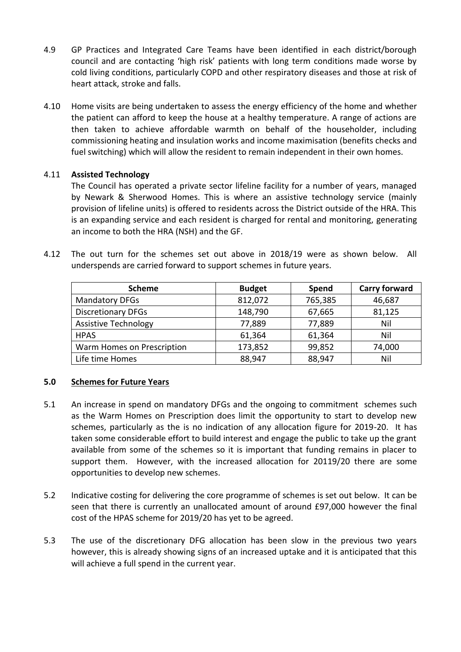- 4.9 GP Practices and Integrated Care Teams have been identified in each district/borough council and are contacting 'high risk' patients with long term conditions made worse by cold living conditions, particularly COPD and other respiratory diseases and those at risk of heart attack, stroke and falls.
- 4.10 Home visits are being undertaken to assess the energy efficiency of the home and whether the patient can afford to keep the house at a healthy temperature. A range of actions are then taken to achieve affordable warmth on behalf of the householder, including commissioning heating and insulation works and income maximisation (benefits checks and fuel switching) which will allow the resident to remain independent in their own homes.

# 4.11 **Assisted Technology**

The Council has operated a private sector lifeline facility for a number of years, managed by Newark & Sherwood Homes. This is where an assistive technology service (mainly provision of lifeline units) is offered to residents across the District outside of the HRA. This is an expanding service and each resident is charged for rental and monitoring, generating an income to both the HRA (NSH) and the GF.

4.12 The out turn for the schemes set out above in 2018/19 were as shown below. All underspends are carried forward to support schemes in future years.

| <b>Scheme</b>               | <b>Budget</b> | Spend   | <b>Carry forward</b> |
|-----------------------------|---------------|---------|----------------------|
| <b>Mandatory DFGs</b>       | 812,072       | 765,385 | 46,687               |
| <b>Discretionary DFGs</b>   | 148,790       | 67,665  | 81,125               |
| <b>Assistive Technology</b> | 77,889        | 77,889  | Nil                  |
| <b>HPAS</b>                 | 61,364        | 61,364  | Nil                  |
| Warm Homes on Prescription  | 173,852       | 99,852  | 74,000               |
| Life time Homes             | 88,947        | 88,947  | Nil                  |

#### **5.0 Schemes for Future Years**

- 5.1 An increase in spend on mandatory DFGs and the ongoing to commitment schemes such as the Warm Homes on Prescription does limit the opportunity to start to develop new schemes, particularly as the is no indication of any allocation figure for 2019-20. It has taken some considerable effort to build interest and engage the public to take up the grant available from some of the schemes so it is important that funding remains in placer to support them. However, with the increased allocation for 20119/20 there are some opportunities to develop new schemes.
- 5.2 Indicative costing for delivering the core programme of schemes is set out below. It can be seen that there is currently an unallocated amount of around £97,000 however the final cost of the HPAS scheme for 2019/20 has yet to be agreed.
- 5.3 The use of the discretionary DFG allocation has been slow in the previous two years however, this is already showing signs of an increased uptake and it is anticipated that this will achieve a full spend in the current year.